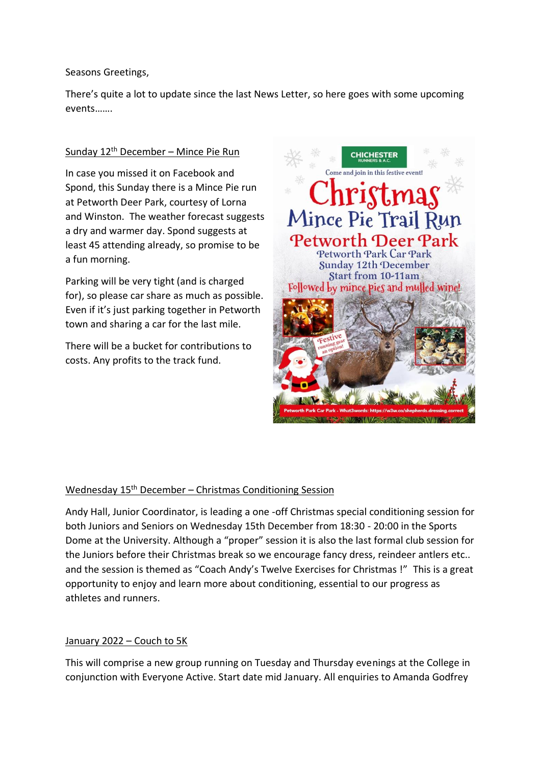Seasons Greetings,

There's quite a lot to update since the last News Letter, so here goes with some upcoming events…….

# Sunday 12th December – Mince Pie Run

In case you missed it on Facebook and Spond, this Sunday there is a Mince Pie run at Petworth Deer Park, courtesy of Lorna and Winston. The weather forecast suggests a dry and warmer day. Spond suggests at least 45 attending already, so promise to be a fun morning.

Parking will be very tight (and is charged for), so please car share as much as possible. Even if it's just parking together in Petworth town and sharing a car for the last mile.

There will be a bucket for contributions to costs. Any profits to the track fund.



# Wednesday 15<sup>th</sup> December – Christmas Conditioning Session

Andy Hall, Junior Coordinator, is leading a one -off Christmas special conditioning session for both Juniors and Seniors on Wednesday 15th December from 18:30 - 20:00 in the Sports Dome at the University. Although a "proper" session it is also the last formal club session for the Juniors before their Christmas break so we encourage fancy dress, reindeer antlers etc.. and the session is themed as "Coach Andy's Twelve Exercises for Christmas !" This is a great opportunity to enjoy and learn more about conditioning, essential to our progress as athletes and runners.

# January 2022 – Couch to 5K

This will comprise a new group running on Tuesday and Thursday evenings at the College in conjunction with Everyone Active. Start date mid January. All enquiries to Amanda Godfrey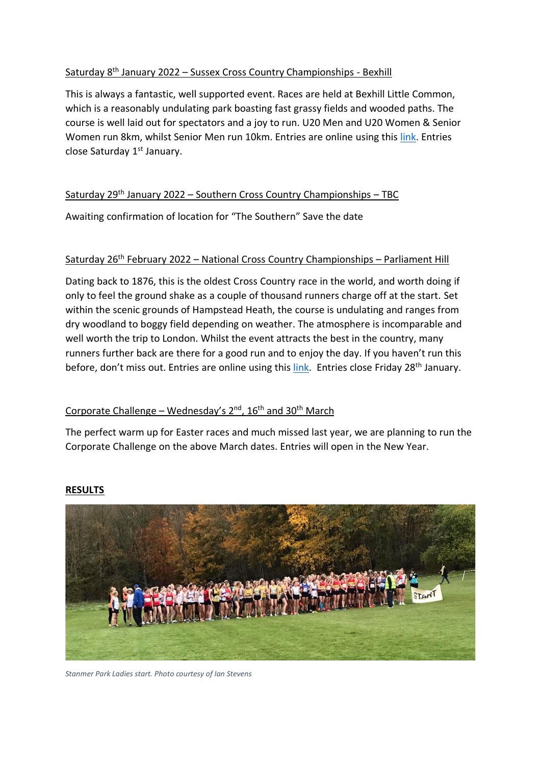# Saturday 8th January 2022 – Sussex Cross Country Championships - Bexhill

This is always a fantastic, well supported event. Races are held at Bexhill Little Common, which is a reasonably undulating park boasting fast grassy fields and wooded paths. The course is well laid out for spectators and a joy to run. U20 Men and U20 Women & Senior Women run 8km, whilst Senior Men run 10km. Entries are online using this [link.](https://race-nation.co.uk/register/sussex-athletics/sussex-cross-country-championships-2022-little-common-bexhill) Entries close Saturday 1<sup>st</sup> January.

## Saturday 29th January 2022 – Southern Cross Country Championships – TBC

Awaiting confirmation of location for "The Southern" Save the date

### Saturday 26<sup>th</sup> February 2022 – National Cross Country Championships – Parliament Hill

Dating back to 1876, this is the oldest Cross Country race in the world, and worth doing if only to feel the ground shake as a couple of thousand runners charge off at the start. Set within the scenic grounds of Hampstead Heath, the course is undulating and ranges from dry woodland to boggy field depending on weather. The atmosphere is incomparable and well worth the trip to London. Whilst the event attracts the best in the country, many runners further back are there for a good run and to enjoy the day. If you haven't run this before, don't miss out. Entries are online using this [link.](https://www.englishcrosscountry.co.uk/the-national-cross-country-championships/entry-procedure/) Entries close Friday 28<sup>th</sup> January.

# Corporate Challenge – Wednesday's  $2^{nd}$ ,  $16^{th}$  and  $30^{th}$  March

The perfect warm up for Easter races and much missed last year, we are planning to run the Corporate Challenge on the above March dates. Entries will open in the New Year.



### **RESULTS**

*Stanmer Park Ladies start. Photo courtesy of Ian Stevens*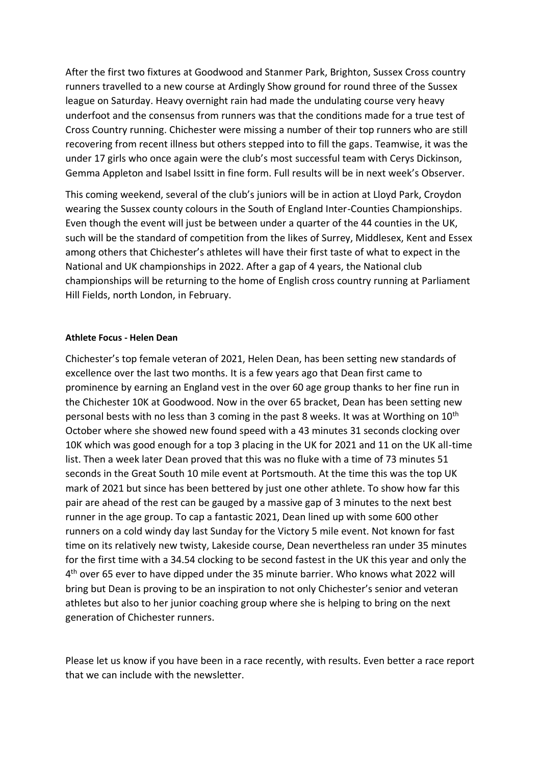After the first two fixtures at Goodwood and Stanmer Park, Brighton, Sussex Cross country runners travelled to a new course at Ardingly Show ground for round three of the Sussex league on Saturday. Heavy overnight rain had made the undulating course very heavy underfoot and the consensus from runners was that the conditions made for a true test of Cross Country running. Chichester were missing a number of their top runners who are still recovering from recent illness but others stepped into to fill the gaps. Teamwise, it was the under 17 girls who once again were the club's most successful team with Cerys Dickinson, Gemma Appleton and Isabel Issitt in fine form. Full results will be in next week's Observer.

This coming weekend, several of the club's juniors will be in action at Lloyd Park, Croydon wearing the Sussex county colours in the South of England Inter-Counties Championships. Even though the event will just be between under a quarter of the 44 counties in the UK, such will be the standard of competition from the likes of Surrey, Middlesex, Kent and Essex among others that Chichester's athletes will have their first taste of what to expect in the National and UK championships in 2022. After a gap of 4 years, the National club championships will be returning to the home of English cross country running at Parliament Hill Fields, north London, in February.

#### **Athlete Focus - Helen Dean**

Chichester's top female veteran of 2021, Helen Dean, has been setting new standards of excellence over the last two months. It is a few years ago that Dean first came to prominence by earning an England vest in the over 60 age group thanks to her fine run in the Chichester 10K at Goodwood. Now in the over 65 bracket, Dean has been setting new personal bests with no less than 3 coming in the past 8 weeks. It was at Worthing on 10<sup>th</sup> October where she showed new found speed with a 43 minutes 31 seconds clocking over 10K which was good enough for a top 3 placing in the UK for 2021 and 11 on the UK all-time list. Then a week later Dean proved that this was no fluke with a time of 73 minutes 51 seconds in the Great South 10 mile event at Portsmouth. At the time this was the top UK mark of 2021 but since has been bettered by just one other athlete. To show how far this pair are ahead of the rest can be gauged by a massive gap of 3 minutes to the next best runner in the age group. To cap a fantastic 2021, Dean lined up with some 600 other runners on a cold windy day last Sunday for the Victory 5 mile event. Not known for fast time on its relatively new twisty, Lakeside course, Dean nevertheless ran under 35 minutes for the first time with a 34.54 clocking to be second fastest in the UK this year and only the 4<sup>th</sup> over 65 ever to have dipped under the 35 minute barrier. Who knows what 2022 will bring but Dean is proving to be an inspiration to not only Chichester's senior and veteran athletes but also to her junior coaching group where she is helping to bring on the next generation of Chichester runners.

Please let us know if you have been in a race recently, with results. Even better a race report that we can include with the newsletter.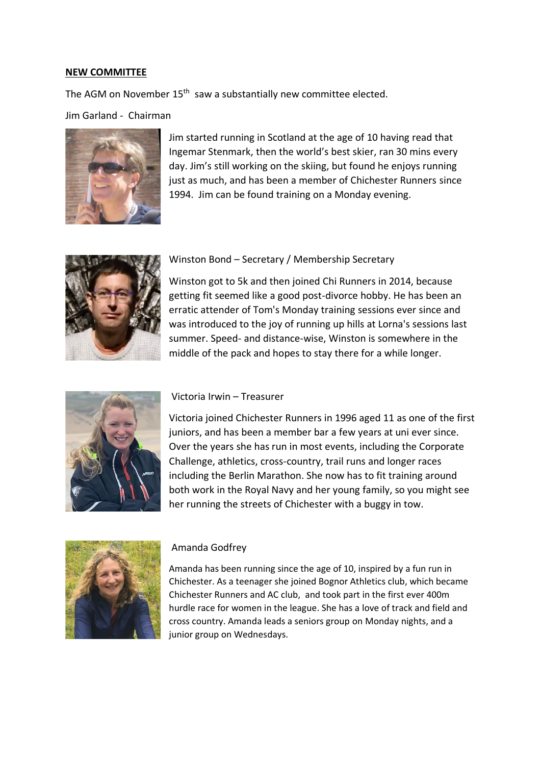#### **NEW COMMITTEE**

The AGM on November 15<sup>th</sup> saw a substantially new committee elected.

Jim Garland - Chairman



Jim started running in Scotland at the age of 10 having read that Ingemar Stenmark, then the world's best skier, ran 30 mins every day. Jim's still working on the skiing, but found he enjoys running just as much, and has been a member of Chichester Runners since 1994. Jim can be found training on a Monday evening.



#### Winston Bond – Secretary / Membership Secretary

Winston got to 5k and then joined Chi Runners in 2014, because getting fit seemed like a good post-divorce hobby. He has been an erratic attender of Tom's Monday training sessions ever since and was introduced to the joy of running up hills at Lorna's sessions last summer. Speed- and distance-wise, Winston is somewhere in the middle of the pack and hopes to stay there for a while longer.



#### Victoria Irwin – Treasurer

Victoria joined Chichester Runners in 1996 aged 11 as one of the first juniors, and has been a member bar a few years at uni ever since. Over the years she has run in most events, including the Corporate Challenge, athletics, cross-country, trail runs and longer races including the Berlin Marathon. She now has to fit training around both work in the Royal Navy and her young family, so you might see her running the streets of Chichester with a buggy in tow.



#### Amanda Godfrey

Amanda has been running since the age of 10, inspired by a fun run in Chichester. As a teenager she joined Bognor Athletics club, which became Chichester Runners and AC club, and took part in the first ever 400m hurdle race for women in the league. She has a love of track and field and cross country. Amanda leads a seniors group on Monday nights, and a junior group on Wednesdays.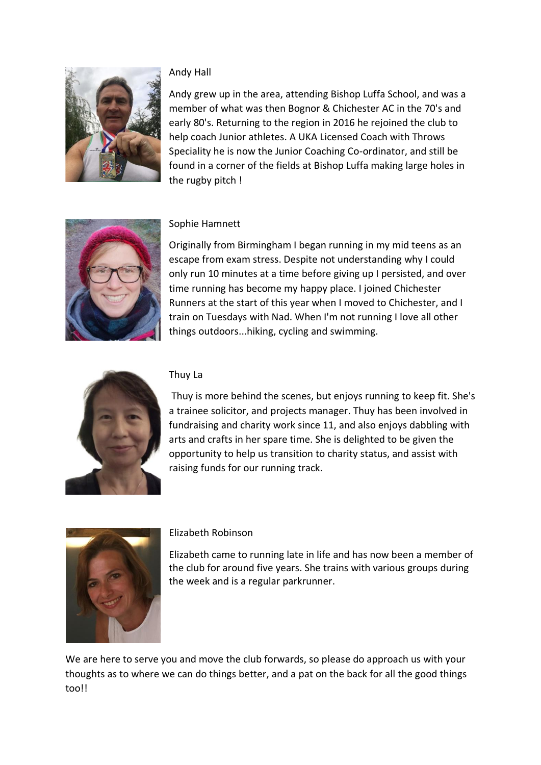

# Andy Hall

Andy grew up in the area, attending Bishop Luffa School, and was a member of what was then Bognor & Chichester AC in the 70's and early 80's. Returning to the region in 2016 he rejoined the club to help coach Junior athletes. A UKA Licensed Coach with Throws Speciality he is now the Junior Coaching Co-ordinator, and still be found in a corner of the fields at Bishop Luffa making large holes in the rugby pitch !



# Sophie Hamnett

Originally from Birmingham I began running in my mid teens as an escape from exam stress. Despite not understanding why I could only run 10 minutes at a time before giving up I persisted, and over time running has become my happy place. I joined Chichester Runners at the start of this year when I moved to Chichester, and I train on Tuesdays with Nad. When I'm not running I love all other things outdoors...hiking, cycling and swimming.



## Thuy La

Thuy is more behind the scenes, but enjoys running to keep fit. She's a trainee solicitor, and projects manager. Thuy has been involved in fundraising and charity work since 11, and also enjoys dabbling with arts and crafts in her spare time. She is delighted to be given the opportunity to help us transition to charity status, and assist with raising funds for our running track.



### Elizabeth Robinson

Elizabeth came to running late in life and has now been a member of the club for around five years. She trains with various groups during the week and is a regular parkrunner.

We are here to serve you and move the club forwards, so please do approach us with your thoughts as to where we can do things better, and a pat on the back for all the good things too!!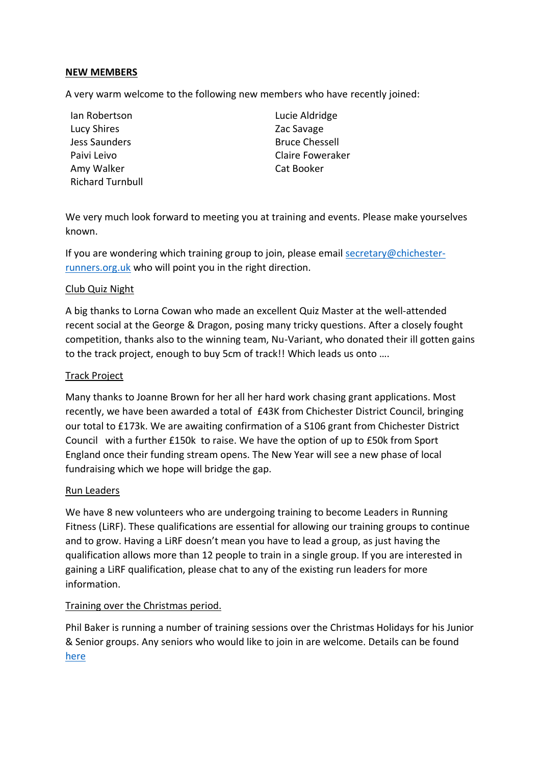## **NEW MEMBERS**

A very warm welcome to the following new members who have recently joined:

- Ian Robertson Lucie Aldridge Lucy Shires **Lucy Shires Zac Savage** Jess Saunders **Bruce Chessell** Amy Walker **Cat Booker** Cat Booker Richard Turnbull
- Paivi Leivo Claire Foweraker

We very much look forward to meeting you at training and events. Please make yourselves known.

If you are wondering which training group to join, please email [secretary@chichester](mailto:secretary@chichester-runners.org.uk)[runners.org.uk](mailto:secretary@chichester-runners.org.uk) who will point you in the right direction.

### Club Quiz Night

A big thanks to Lorna Cowan who made an excellent Quiz Master at the well-attended recent social at the George & Dragon, posing many tricky questions. After a closely fought competition, thanks also to the winning team, Nu-Variant, who donated their ill gotten gains to the track project, enough to buy 5cm of track!! Which leads us onto ….

## Track Project

Many thanks to Joanne Brown for her all her hard work chasing grant applications. Most recently, we have been awarded a total of £43K from Chichester District Council, bringing our total to £173k. We are awaiting confirmation of a S106 grant from Chichester District Council with a further £150k to raise. We have the option of up to £50k from Sport England once their funding stream opens. The New Year will see a new phase of local fundraising which we hope will bridge the gap.

### Run Leaders

We have 8 new volunteers who are undergoing training to become Leaders in Running Fitness (LiRF). These qualifications are essential for allowing our training groups to continue and to grow. Having a LiRF doesn't mean you have to lead a group, as just having the qualification allows more than 12 people to train in a single group. If you are interested in gaining a LiRF qualification, please chat to any of the existing run leaders for more information.

# Training over the Christmas period.

Phil Baker is running a number of training sessions over the Christmas Holidays for his Junior & Senior groups. Any seniors who would like to join in are welcome. Details can be found [here](https://drive.google.com/file/d/1dRVVcqkKsUsCai0V0YtGjKWn6de80jnG/view?usp=sharing)